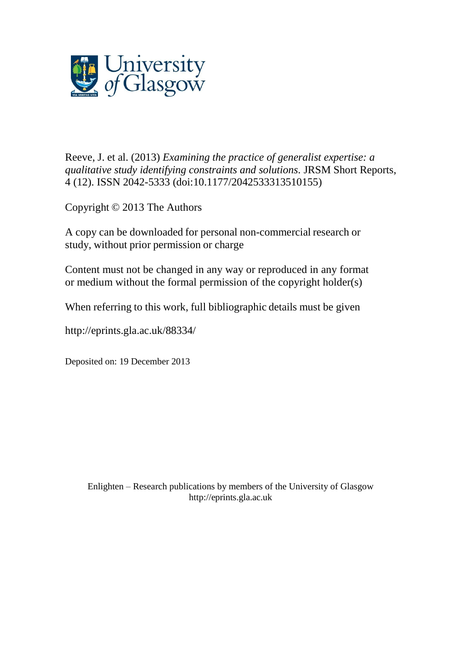

Reeve, J. et al. (2013) *Examining the practice of generalist expertise: a qualitative study identifying constraints and solutions.* [JRSM Short Reports,](http://eprints.gla.ac.uk/view/journal_volume/JRSM_Short_Reports.html) 4 (12). ISSN 2042-5333 (doi[:10.1177/2042533313510155\)](http://dx.doi.org/10.1177/2042533313510155)

Copyright © 2013 The Authors

A copy can be downloaded for personal non-commercial research or study, without prior permission or charge

Content must not be changed in any way or reproduced in any format or medium without the formal permission of the copyright holder(s)

When referring to this work, full bibliographic details must be given

http://eprints.gla.ac.uk/88334/

Deposited on: 19 December 2013

Enlighten – Research publications by members of the University of Glasgow http://eprints.gla.ac.uk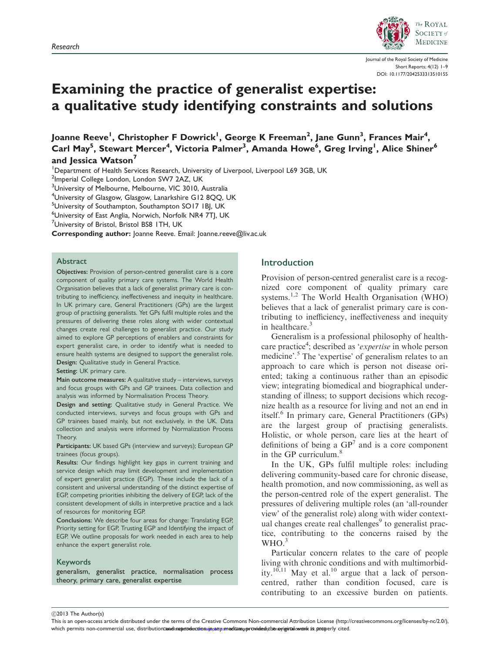

Journal of the Royal Society of Medicine Short Reports; 4(12) 1–9 DOI: 10.1177/2042533313510155

# Examining the practice of generalist expertise: a qualitative study identifying constraints and solutions

Joanne Reeve<sup>l</sup>, Christopher F Dowrick<sup>I</sup>, George K Freeman<sup>2</sup>, Jane Gunn<sup>3</sup>, Frances Mair<sup>4</sup>, Carl May<sup>5</sup>, Stewart Mercer<sup>4</sup>, Victoria Palmer<sup>3</sup>, Amanda Howe<sup>6</sup>, Greg Irving<sup>1</sup>, Alice Shiner<sup>6</sup> and Jessica Watson<sup>7</sup>

<sup>1</sup>Department of Health Services Research, University of Liverpool, Liverpool L69 3GB, UK

<sup>2</sup>Imperial College London, London SW7 2AZ, UK

<sup>3</sup>University of Melbourne, Melbourne, VIC 3010, Australia

4 University of Glasgow, Glasgow, Lanarkshire G12 8QQ, UK

<sup>5</sup>University of Southampton, Southampton SO17 1BJ, UK

6 University of East Anglia, Norwich, Norfolk NR4 7TJ, UK

<sup>7</sup>University of Bristol, Bristol BS8 ITH, UK

Corresponding author: Joanne Reeve. Email: Joanne.reeve@liv.ac.uk

### Abstract

Objectives: Provision of person-centred generalist care is a core component of quality primary care systems. The World Health Organisation believes that a lack of generalist primary care is contributing to inefficiency, ineffectiveness and inequity in healthcare. In UK primary care, General Practitioners (GPs) are the largest group of practising generalists. Yet GPs fulfil multiple roles and the pressures of delivering these roles along with wider contextual changes create real challenges to generalist practice. Our study aimed to explore GP perceptions of enablers and constraints for expert generalist care, in order to identify what is needed to ensure health systems are designed to support the generalist role. Design: Qualitative study in General Practice.

Setting: UK primary care.

Main outcome measures: A qualitative study – interviews, surveys and focus groups with GPs and GP trainees. Data collection and analysis was informed by Normalisation Process Theory.

Design and setting: Qualitative study in General Practice. We conducted interviews, surveys and focus groups with GPs and GP trainees based mainly, but not exclusively, in the UK. Data collection and analysis were informed by Normalization Process Theory.

Participants: UK based GPs (interview and surveys); European GP trainees (focus groups).

Results: Our findings highlight key gaps in current training and service design which may limit development and implementation of expert generalist practice (EGP). These include the lack of a consistent and universal understanding of the distinct expertise of EGP, competing priorities inhibiting the delivery of EGP, lack of the consistent development of skills in interpretive practice and a lack of resources for monitoring EGP.

Conclusions: We describe four areas for change: Translating EGP, Priority setting for EGP, Trusting EGP and Identifying the impact of EGP. We outline proposals for work needed in each area to help enhance the expert generalist role.

#### Keywords

generalism, generalist practice, normalisation process theory, primary care, generalist expertise

# Introduction

Provision of person-centred generalist care is a recognized core component of quality primary care systems.<sup>1,2</sup> The World Health Organisation (WHO) believes that a lack of generalist primary care is contributing to inefficiency, ineffectiveness and inequity in healthcare.<sup>3</sup>

Generalism is a professional philosophy of healthcare practice<sup>4</sup>; described as 'expertise in whole person medicine'.<sup>5</sup> The 'expertise' of generalism relates to an approach to care which is person not disease oriented; taking a continuous rather than an episodic view; integrating biomedical and biographical understanding of illness; to support decisions which recognize health as a resource for living and not an end in itself.<sup>6</sup> In primary care, General Practitioners (GPs) are the largest group of practising generalists. Holistic, or whole person, care lies at the heart of definitions of being a  $GP<sup>7</sup>$  and is a core component in the GP curriculum.<sup>8</sup>

In the UK, GPs fulfil multiple roles: including delivering community-based care for chronic disease, health promotion, and now commissioning, as well as the person-centred role of the expert generalist. The pressures of delivering multiple roles (an 'all-rounder view' of the generalist role) along with wider contextual changes create real challenges<sup>9</sup> to generalist practice, contributing to the concerns raised by the  $WHO.<sup>3</sup>$ 

Particular concern relates to the care of people living with chronic conditions and with multimorbidity.<sup>10,11</sup> May et al.<sup>10</sup> argue that a lack of personcentred, rather than condition focused, care is contributing to an excessive burden on patients.

!2013 The Author(s)

This is an open-access article distributed under the terms of the Creative Commons Non-commercial Attribution License (http://creativecommons.org/licenses/by-nc/2.0/), which permits non-commercial use, distribution pandus<del>a production in paramedium gan onideshy be any iginal wands</del> is properly cited.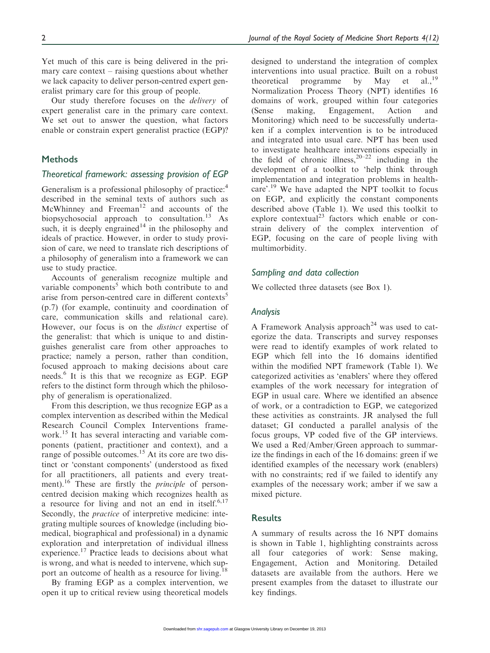Our study therefore focuses on the delivery of expert generalist care in the primary care context. We set out to answer the question, what factors enable or constrain expert generalist practice (EGP)?

## **Methods**

## Theoretical framework: assessing provision of EGP

Generalism is a professional philosophy of practice:<sup>4</sup> described in the seminal texts of authors such as McWhinney and Freeman<sup>12</sup> and accounts of the biopsychosocial approach to consultation.<sup>13</sup> As such, it is deeply engrained<sup> $14$ </sup> in the philosophy and ideals of practice. However, in order to study provision of care, we need to translate rich descriptions of a philosophy of generalism into a framework we can use to study practice.

Accounts of generalism recognize multiple and variable components<sup>5</sup> which both contribute to and arise from person-centred care in different contexts<sup>5</sup> (p.7) (for example, continuity and coordination of care, communication skills and relational care). However, our focus is on the distinct expertise of the generalist: that which is unique to and distinguishes generalist care from other approaches to practice; namely a person, rather than condition, focused approach to making decisions about care needs.<sup>6</sup> It is this that we recognize as EGP. EGP refers to the distinct form through which the philosophy of generalism is operationalized.

From this description, we thus recognize EGP as a complex intervention as described within the Medical Research Council Complex Interventions framework.15 It has several interacting and variable components (patient, practitioner and context), and a range of possible outcomes.<sup>15</sup> At its core are two distinct or 'constant components' (understood as fixed for all practitioners, all patients and every treatment).<sup>16</sup> These are firstly the *principle* of personcentred decision making which recognizes health as a resource for living and not an end in itself. $6,17$ Secondly, the practice of interpretive medicine: integrating multiple sources of knowledge (including biomedical, biographical and professional) in a dynamic exploration and interpretation of individual illness experience.<sup>17</sup> Practice leads to decisions about what is wrong, and what is needed to intervene, which support an outcome of health as a resource for living.<sup>18</sup>

By framing EGP as a complex intervention, we open it up to critical review using theoretical models designed to understand the integration of complex interventions into usual practice. Built on a robust theoretical programme by May et al., $^{19}$ Normalization Process Theory (NPT) identifies 16 domains of work, grouped within four categories (Sense making, Engagement, Action and Monitoring) which need to be successfully undertaken if a complex intervention is to be introduced and integrated into usual care. NPT has been used to investigate healthcare interventions especially in the field of chronic illness,  $20-22$  including in the development of a toolkit to 'help think through implementation and integration problems in healthcare'.19 We have adapted the NPT toolkit to focus on EGP, and explicitly the constant components described above (Table 1). We used this toolkit to explore contextual<sup>23</sup> factors which enable or constrain delivery of the complex intervention of EGP, focusing on the care of people living with multimorbidity.

## Sampling and data collection

We collected three datasets (see Box 1).

## Analysis

A Framework Analysis approach<sup>24</sup> was used to categorize the data. Transcripts and survey responses were read to identify examples of work related to EGP which fell into the 16 domains identified within the modified NPT framework (Table 1). We categorized activities as 'enablers' where they offered examples of the work necessary for integration of EGP in usual care. Where we identified an absence of work, or a contradiction to EGP, we categorized these activities as constraints. JR analysed the full dataset; GI conducted a parallel analysis of the focus groups, VP coded five of the GP interviews. We used a Red/Amber/Green approach to summarize the findings in each of the 16 domains: green if we identified examples of the necessary work (enablers) with no constraints; red if we failed to identify any examples of the necessary work; amber if we saw a mixed picture.

## **Results**

A summary of results across the 16 NPT domains is shown in Table 1, highlighting constraints across all four categories of work: Sense making, Engagement, Action and Monitoring. Detailed datasets are available from the authors. Here we present examples from the dataset to illustrate our key findings.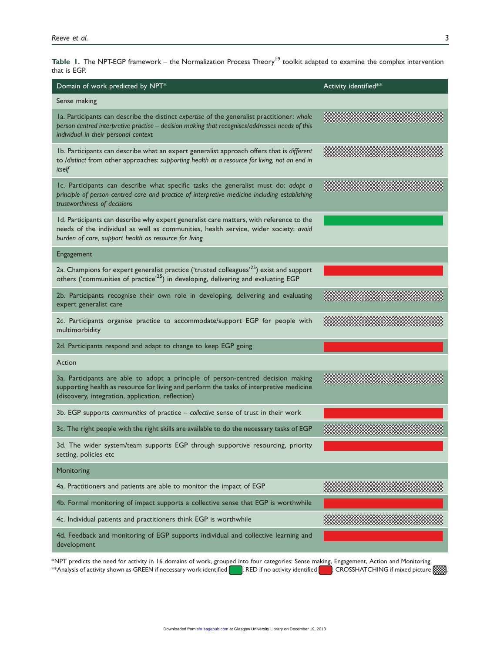Table 1. The NPT-EGP framework – the Normalization Process Theory<sup>19</sup> toolkit adapted to examine the complex intervention that is EGP.

| Domain of work predicted by NPT*                                                                                                                                                                                                         | Activity identified**     |
|------------------------------------------------------------------------------------------------------------------------------------------------------------------------------------------------------------------------------------------|---------------------------|
| Sense making                                                                                                                                                                                                                             |                           |
| Ia. Participants can describe the distinct expertise of the generalist practitioner: whole<br>person centred interpretive practice - decision making that recognises/addresses needs of this<br>individual in their personal context     |                           |
| Ib. Participants can describe what an expert generalist approach offers that is different<br>to /distinct from other approaches: supporting health as a resource for living, not an end in<br>itself                                     |                           |
| Ic. Participants can describe what specific tasks the generalist must do: adopt a<br>principle of person centred care and practice of interpretive medicine including establishing<br>trustworthiness of decisions                       |                           |
| Id. Participants can describe why expert generalist care matters, with reference to the<br>needs of the individual as well as communities, health service, wider society: avoid<br>burden of care, support health as resource for living |                           |
| Engagement                                                                                                                                                                                                                               |                           |
| 2a. Champions for expert generalist practice ('trusted colleagues' <sup>25</sup> ) exist and support<br>others ('communities of practice' <sup>25</sup> ) in developing, delivering and evaluating EGP                                   |                           |
| 2b. Participants recognise their own role in developing, delivering and evaluating<br>expert generalist care                                                                                                                             |                           |
| 2c. Participants organise practice to accommodate/support EGP for people with<br>multimorbidity                                                                                                                                          |                           |
| 2d. Participants respond and adapt to change to keep EGP going                                                                                                                                                                           |                           |
| Action                                                                                                                                                                                                                                   |                           |
| 3a. Participants are able to adopt a principle of person-centred decision making<br>supporting health as resource for living and perform the tasks of interpretive medicine<br>(discovery, integration, application, reflection)         |                           |
| 3b. EGP supports communities of practice $-$ collective sense of trust in their work                                                                                                                                                     |                           |
| 3c. The right people with the right skills are available to do the necessary tasks of EGP                                                                                                                                                |                           |
| 3d. The wider system/team supports EGP through supportive resourcing, priority<br>setting, policies etc                                                                                                                                  |                           |
| Monitoring                                                                                                                                                                                                                               |                           |
| 4a. Practitioners and patients are able to monitor the impact of EGP                                                                                                                                                                     | 9999999999999999999999999 |
| 4b. Formal monitoring of impact supports a collective sense that EGP is worthwhile                                                                                                                                                       |                           |
| 4c. Individual patients and practitioners think EGP is worthwhile                                                                                                                                                                        |                           |
| 4d. Feedback and monitoring of EGP supports individual and collective learning and<br>development                                                                                                                                        |                           |

\*NPT predicts the need for activity in 16 domains of work, grouped into four categories: Sense making, Engagement, Action and Monitoring.  $^{**}$ Analysis of activity shown as GREEN if necessary work identified  $| \quad |$ ; RED if no activity identified  $| \quad |$ ; CROSSHATCHING if mixed picture  $| \widetilde{2333}|$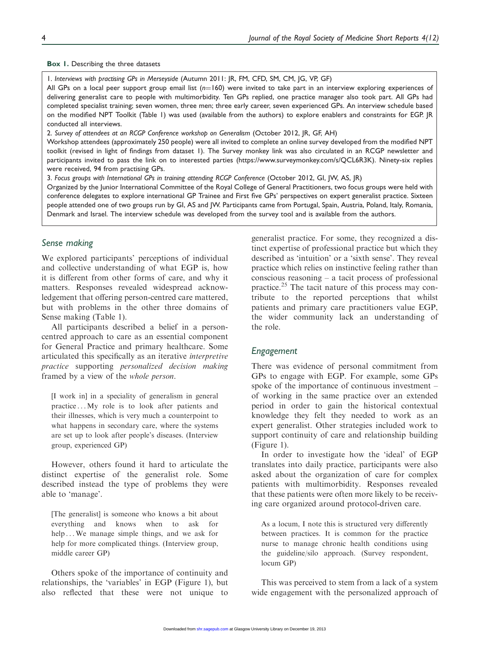## Box 1. Describing the three datasets

1. Interviews with practising GPs in Merseyside (Autumn 2011: JR, FM, CFD, SM, CM, JG, VP, GF)

All GPs on a local peer support group email list  $(n=160)$  were invited to take part in an interview exploring experiences of delivering generalist care to people with multimorbidity. Ten GPs replied, one practice manager also took part. All GPs had completed specialist training; seven women, three men; three early career, seven experienced GPs. An interview schedule based on the modified NPT Toolkit (Table 1) was used (available from the authors) to explore enablers and constraints for EGP. JR conducted all interviews.

2. Survey of attendees at an RCGP Conference workshop on Generalism (October 2012, JR, GF, AH)

Workshop attendees (approximately 250 people) were all invited to complete an online survey developed from the modified NPT toolkit (revised in light of findings from dataset 1). The Survey monkey link was also circulated in an RCGP newsletter and participants invited to pass the link on to interested parties (https://www.surveymonkey.com/s/QCL6R3K). Ninety-six replies were received, 94 from practising GPs.

3. Focus groups with International GPs in training attending RCGP Conference (October 2012, GI, JW, AS, JR)

Organized by the Junior International Committee of the Royal College of General Practitioners, two focus groups were held with conference delegates to explore international GP Trainee and First five GPs' perspectives on expert generalist practice. Sixteen people attended one of two groups run by GI, AS and JW. Participants came from Portugal, Spain, Austria, Poland, Italy, Romania, Denmark and Israel. The interview schedule was developed from the survey tool and is available from the authors.

# Sense making

We explored participants' perceptions of individual and collective understanding of what EGP is, how it is different from other forms of care, and why it matters. Responses revealed widespread acknowledgement that offering person-centred care mattered, but with problems in the other three domains of Sense making (Table 1).

All participants described a belief in a personcentred approach to care as an essential component for General Practice and primary healthcare. Some articulated this specifically as an iterative interpretive practice supporting personalized decision making framed by a view of the whole person.

[I work in] in a speciality of generalism in general practice ... My role is to look after patients and their illnesses, which is very much a counterpoint to what happens in secondary care, where the systems are set up to look after people's diseases. (Interview group, experienced GP)

However, others found it hard to articulate the distinct expertise of the generalist role. Some described instead the type of problems they were able to 'manage'.

[The generalist] is someone who knows a bit about everything and knows when to ask for help ... We manage simple things, and we ask for help for more complicated things. (Interview group, middle career GP)

Others spoke of the importance of continuity and relationships, the 'variables' in EGP (Figure 1), but also reflected that these were not unique to generalist practice. For some, they recognized a distinct expertise of professional practice but which they described as 'intuition' or a 'sixth sense'. They reveal practice which relies on instinctive feeling rather than conscious reasoning – a tacit process of professional practice.<sup>25</sup> The tacit nature of this process may contribute to the reported perceptions that whilst patients and primary care practitioners value EGP, the wider community lack an understanding of the role.

## Engagement

There was evidence of personal commitment from GPs to engage with EGP. For example, some GPs spoke of the importance of continuous investment – of working in the same practice over an extended period in order to gain the historical contextual knowledge they felt they needed to work as an expert generalist. Other strategies included work to support continuity of care and relationship building (Figure 1).

In order to investigate how the 'ideal' of EGP translates into daily practice, participants were also asked about the organization of care for complex patients with multimorbidity. Responses revealed that these patients were often more likely to be receiving care organized around protocol-driven care.

As a locum, I note this is structured very differently between practices. It is common for the practice nurse to manage chronic health conditions using the guideline/silo approach. (Survey respondent, locum GP)

This was perceived to stem from a lack of a system wide engagement with the personalized approach of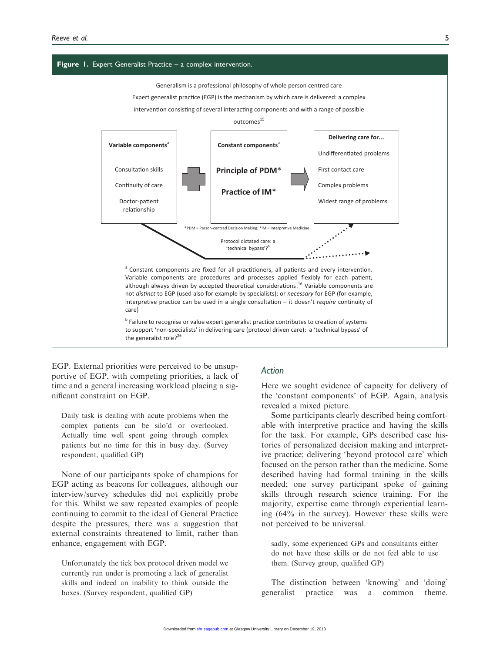

EGP. External priorities were perceived to be unsupportive of EGP, with competing priorities, a lack of time and a general increasing workload placing a significant constraint on EGP.

Daily task is dealing with acute problems when the complex patients can be silo'd or overlooked. Actually time well spent going through complex patients but no time for this in busy day. (Survey respondent, qualified GP)

None of our participants spoke of champions for EGP acting as beacons for colleagues, although our interview/survey schedules did not explicitly probe for this. Whilst we saw repeated examples of people continuing to commit to the ideal of General Practice despite the pressures, there was a suggestion that external constraints threatened to limit, rather than enhance, engagement with EGP.

Unfortunately the tick box protocol driven model we currently run under is promoting a lack of generalist skills and indeed an inability to think outside the boxes. (Survey respondent, qualified GP)

## Action

Here we sought evidence of capacity for delivery of the 'constant components' of EGP. Again, analysis revealed a mixed picture.

Some participants clearly described being comfortable with interpretive practice and having the skills for the task. For example, GPs described case histories of personalized decision making and interpretive practice; delivering 'beyond protocol care' which focused on the person rather than the medicine. Some described having had formal training in the skills needed; one survey participant spoke of gaining skills through research science training. For the majority, expertise came through experiential learning (64% in the survey). However these skills were not perceived to be universal.

sadly, some experienced GPs and consultants either do not have these skills or do not feel able to use them. (Survey group, qualified GP)

The distinction between 'knowing' and 'doing' generalist practice was a common theme.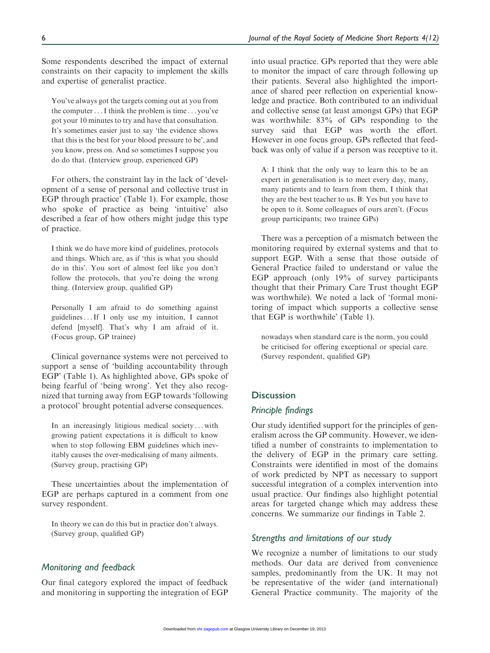Some respondents described the impact of external constraints on their capacity to implement the skills and expertise of generalist practice.

You've always got the targets coming out at you from the computer...I think the problem is time ... you've got your 10 minutes to try and have that consultation. It's sometimes easier just to say 'the evidence shows that this is the best for your blood pressure to be', and you know, press on. And so sometimes I suppose you do do that. (Interview group, experienced GP)

For others, the constraint lay in the lack of 'development of a sense of personal and collective trust in EGP through practice' (Table 1). For example, those who spoke of practice as being 'intuitive' also described a fear of how others might judge this type of practice.

I think we do have more kind of guidelines, protocols and things. Which are, as if 'this is what you should do in this'. You sort of almost feel like you don't follow the protocols, that you're doing the wrong thing. (Interview group, qualified GP)

Personally I am afraid to do something against guidelines...If I only use my intuition, I cannot defend [myself]. That's why I am afraid of it. (Focus group, GP trainee)

Clinical governance systems were not perceived to support a sense of 'building accountability through EGP' (Table 1). As highlighted above, GPs spoke of being fearful of 'being wrong'. Yet they also recognized that turning away from EGP towards 'following a protocol' brought potential adverse consequences.

In an increasingly litigious medical society ... with growing patient expectations it is difficult to know when to stop following EBM guidelines which inevitably causes the over-medicalising of many ailments. (Survey group, practising GP)

These uncertainties about the implementation of EGP are perhaps captured in a comment from one survey respondent.

In theory we can do this but in practice don't always. (Survey group, qualified GP)

# Monitoring and feedback

Our final category explored the impact of feedback and monitoring in supporting the integration of EGP into usual practice. GPs reported that they were able to monitor the impact of care through following up their patients. Several also highlighted the importance of shared peer reflection on experiential knowledge and practice. Both contributed to an individual and collective sense (at least amongst GPs) that EGP was worthwhile: 83% of GPs responding to the survey said that EGP was worth the effort. However in one focus group, GPs reflected that feedback was only of value if a person was receptive to it.

A: I think that the only way to learn this to be an expert in generalisation is to meet every day, many, many patients and to learn from them, I think that they are the best teacher to us. B: Yes but you have to be open to it. Some colleagues of ours aren't. (Focus group participants; two trainee GPs)

There was a perception of a mismatch between the monitoring required by external systems and that to support EGP. With a sense that those outside of General Practice failed to understand or value the EGP approach (only 19% of survey participants thought that their Primary Care Trust thought EGP was worthwhile). We noted a lack of 'formal monitoring of impact which supports a collective sense that EGP is worthwhile' (Table 1).

nowadays when standard care is the norm, you could be criticised for offering exceptional or special care. (Survey respondent, qualified GP)

## **Discussion**

## Principle findings

Our study identified support for the principles of generalism across the GP community. However, we identified a number of constraints to implementation to the delivery of EGP in the primary care setting. Constraints were identified in most of the domains of work predicted by NPT as necessary to support successful integration of a complex intervention into usual practice. Our findings also highlight potential areas for targeted change which may address these concerns. We summarize our findings in Table 2.

# Strengths and limitations of our study

We recognize a number of limitations to our study methods. Our data are derived from convenience samples, predominantly from the UK. It may not be representative of the wider (and international) General Practice community. The majority of the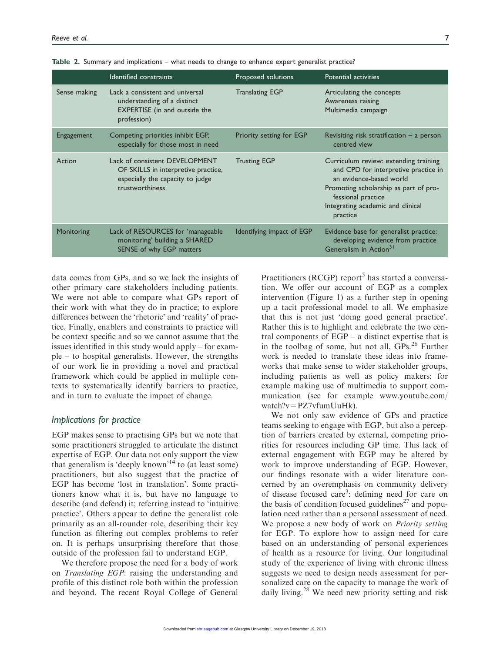|              | Identified constraints                                                                                                       | Proposed solutions        | Potential activities                                                                                                                                                                                                     |
|--------------|------------------------------------------------------------------------------------------------------------------------------|---------------------------|--------------------------------------------------------------------------------------------------------------------------------------------------------------------------------------------------------------------------|
| Sense making | Lack a consistent and universal<br>understanding of a distinct<br>EXPERTISE (in and outside the<br>profession)               | <b>Translating EGP</b>    | Articulating the concepts<br>Awareness raising<br>Multimedia campaign                                                                                                                                                    |
| Engagement   | Competing priorities inhibit EGP,<br>especially for those most in need                                                       | Priority setting for EGP  | Revisiting risk stratification $-$ a person<br>centred view                                                                                                                                                              |
| Action       | Lack of consistent DEVELOPMENT<br>OF SKILLS in interpretive practice,<br>especially the capacity to judge<br>trustworthiness | <b>Trusting EGP</b>       | Curriculum review: extending training<br>and CPD for interpretive practice in<br>an evidence-based world<br>Promoting scholarship as part of pro-<br>fessional practice<br>Integrating academic and clinical<br>practice |
| Monitoring   | Lack of RESOURCES for 'manageable<br>monitoring' building a SHARED<br>SENSE of why EGP matters                               | Identifying impact of EGP | Evidence base for generalist practice:<br>developing evidence from practice<br>Generalism in Action <sup>31</sup>                                                                                                        |

|  |  |  |  |  |  |  |  |  |  |  | Table 2. Summary and implications - what needs to change to enhance expert generalist practice? |  |
|--|--|--|--|--|--|--|--|--|--|--|-------------------------------------------------------------------------------------------------|--|
|--|--|--|--|--|--|--|--|--|--|--|-------------------------------------------------------------------------------------------------|--|

data comes from GPs, and so we lack the insights of other primary care stakeholders including patients. We were not able to compare what GPs report of their work with what they do in practice; to explore differences between the 'rhetoric' and 'reality' of practice. Finally, enablers and constraints to practice will be context specific and so we cannot assume that the issues identified in this study would apply – for example – to hospital generalists. However, the strengths of our work lie in providing a novel and practical framework which could be applied in multiple contexts to systematically identify barriers to practice, and in turn to evaluate the impact of change.

# Implications for practice

EGP makes sense to practising GPs but we note that some practitioners struggled to articulate the distinct expertise of EGP. Our data not only support the view that generalism is 'deeply known'<sup>14</sup> to (at least some) practitioners, but also suggest that the practice of EGP has become 'lost in translation'. Some practitioners know what it is, but have no language to describe (and defend) it; referring instead to 'intuitive practice'. Others appear to define the generalist role primarily as an all-rounder role, describing their key function as filtering out complex problems to refer on. It is perhaps unsurprising therefore that those outside of the profession fail to understand EGP.

We therefore propose the need for a body of work on Translating EGP: raising the understanding and profile of this distinct role both within the profession and beyond. The recent Royal College of General Practitioners (RCGP) report<sup>5</sup> has started a conversation. We offer our account of EGP as a complex intervention (Figure 1) as a further step in opening up a tacit professional model to all. We emphasize that this is not just 'doing good general practice'. Rather this is to highlight and celebrate the two central components of EGP – a distinct expertise that is in the toolbag of some, but not all,  $GPs<sup>26</sup>$  Further work is needed to translate these ideas into frameworks that make sense to wider stakeholder groups, including patients as well as policy makers; for example making use of multimedia to support communication (see for example www.youtube.com/ watch?v=PZ7vfumUuHk).

We not only saw evidence of GPs and practice teams seeking to engage with EGP, but also a perception of barriers created by external, competing priorities for resources including GP time. This lack of external engagement with EGP may be altered by work to improve understanding of EGP. However, our findings resonate with a wider literature concerned by an overemphasis on community delivery of disease focused care<sup>3</sup>: defining need for care on the basis of condition focused guidelines<sup>27</sup> and population need rather than a personal assessment of need. We propose a new body of work on *Priority setting* for EGP. To explore how to assign need for care based on an understanding of personal experiences of health as a resource for living. Our longitudinal study of the experience of living with chronic illness suggests we need to design needs assessment for personalized care on the capacity to manage the work of daily living.<sup>28</sup> We need new priority setting and risk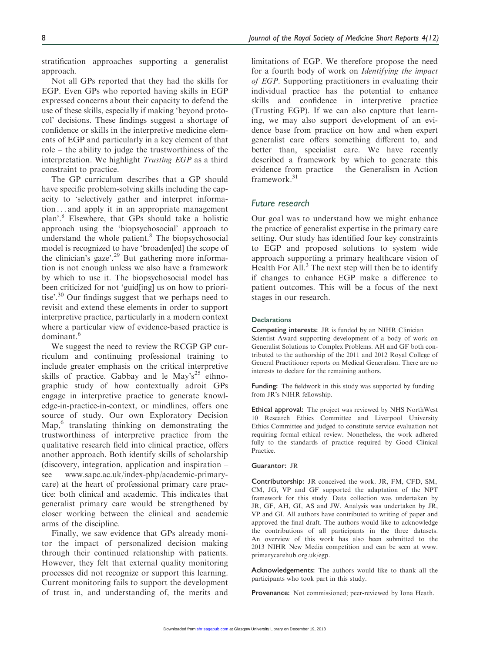stratification approaches supporting a generalist approach.

Not all GPs reported that they had the skills for EGP. Even GPs who reported having skills in EGP expressed concerns about their capacity to defend the use of these skills, especially if making 'beyond protocol' decisions. These findings suggest a shortage of confidence or skills in the interpretive medicine elements of EGP and particularly in a key element of that role – the ability to judge the trustworthiness of the interpretation. We highlight Trusting EGP as a third constraint to practice.

The GP curriculum describes that a GP should have specific problem-solving skills including the capacity to 'selectively gather and interpret information ... and apply it in an appropriate management plan'.8 Elsewhere, that GPs should take a holistic approach using the 'biopsychosocial' approach to understand the whole patient. $8$  The biopsychosocial model is recognized to have 'broaden[ed] the scope of the clinician's gaze'.<sup>29</sup> But gathering more information is not enough unless we also have a framework by which to use it. The biopsychosocial model has been criticized for not 'guid[ing] us on how to prioritise'.30 Our findings suggest that we perhaps need to revisit and extend these elements in order to support interpretive practice, particularly in a modern context where a particular view of evidence-based practice is dominant.<sup>6</sup>

We suggest the need to review the RCGP GP curriculum and continuing professional training to include greater emphasis on the critical interpretive skills of practice. Gabbay and le  $M$ ay's<sup>25</sup> ethnographic study of how contextually adroit GPs engage in interpretive practice to generate knowledge-in-practice-in-context, or mindlines, offers one source of study. Our own Exploratory Decision Map, $<sup>6</sup>$  translating thinking on demonstrating the</sup> trustworthiness of interpretive practice from the qualitative research field into clinical practice, offers another approach. Both identify skills of scholarship (discovery, integration, application and inspiration – see www.sapc.ac.uk/index-php/academic-primarycare) at the heart of professional primary care practice: both clinical and academic. This indicates that generalist primary care would be strengthened by closer working between the clinical and academic arms of the discipline.

Finally, we saw evidence that GPs already monitor the impact of personalized decision making through their continued relationship with patients. However, they felt that external quality monitoring processes did not recognize or support this learning. Current monitoring fails to support the development of trust in, and understanding of, the merits and limitations of EGP. We therefore propose the need for a fourth body of work on Identifying the impact of EGP. Supporting practitioners in evaluating their individual practice has the potential to enhance skills and confidence in interpretive practice (Trusting EGP). If we can also capture that learning, we may also support development of an evidence base from practice on how and when expert generalist care offers something different to, and better than, specialist care. We have recently described a framework by which to generate this evidence from practice – the Generalism in Action framework<sup>31</sup>

# Future research

Our goal was to understand how we might enhance the practice of generalist expertise in the primary care setting. Our study has identified four key constraints to EGP and proposed solutions to system wide approach supporting a primary healthcare vision of Health For All.<sup>3</sup> The next step will then be to identify if changes to enhance EGP make a difference to patient outcomes. This will be a focus of the next stages in our research.

#### **Declarations**

Competing interests: JR is funded by an NIHR Clinician Scientist Award supporting development of a body of work on Generalist Solutions to Complex Problems. AH and GF both contributed to the authorship of the 2011 and 2012 Royal College of General Practitioner reports on Medical Generalism. There are no interests to declare for the remaining authors.

Funding: The fieldwork in this study was supported by funding from JR's NIHR fellowship.

Ethical approval: The project was reviewed by NHS NorthWest 10 Research Ethics Committee and Liverpool University Ethics Committee and judged to constitute service evaluation not requiring formal ethical review. Nonetheless, the work adhered fully to the standards of practice required by Good Clinical Practice.

#### Guarantor: JR

Contributorship: JR conceived the work. JR, FM, CFD, SM, CM, JG, VP and GF supported the adaptation of the NPT framework for this study. Data collection was undertaken by JR, GF, AH, GI, AS and JW. Analysis was undertaken by JR, VP and GI. All authors have contributed to writing of paper and approved the final draft. The authors would like to acknowledge the contributions of all participants in the three datasets. An overview of this work has also been submitted to the 2013 NIHR New Media competition and can be seen at www. primarycarehub.org.uk/egp.

Acknowledgements: The authors would like to thank all the participants who took part in this study.

Provenance: Not commissioned; peer-reviewed by Iona Heath.